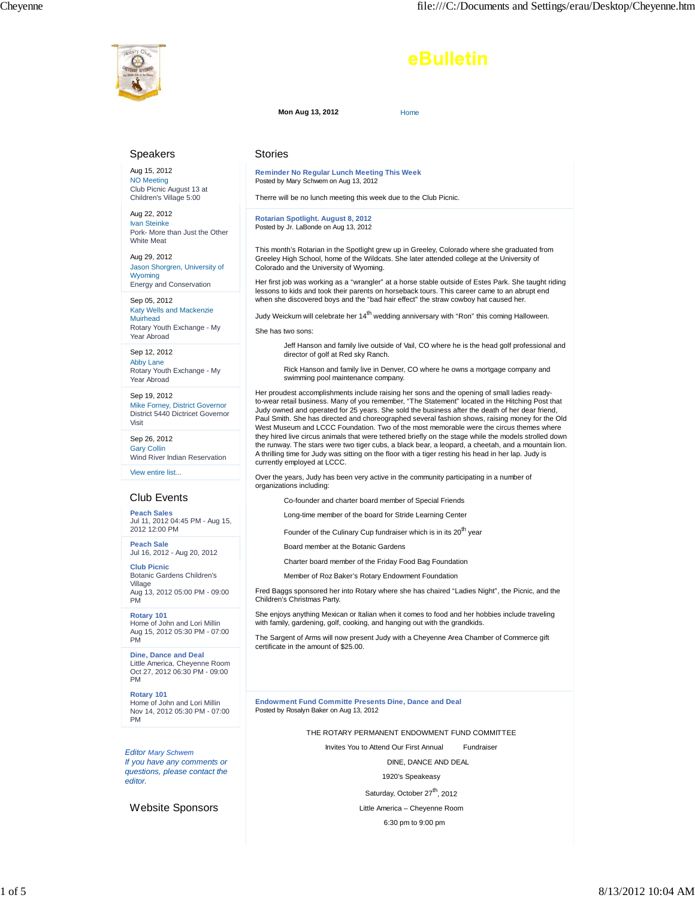

Visit

PM

PM

## eBulletin

**Mon Aug 13, 2012** Home

## Speakers Aug 15, 2012 NO Meeting Club Picnic August 13 at Children's Village 5:00 Aug 22, 2012 Ivan Steinke Pork- More than Just the Other White Meat Aug 29, 2012 Jason Shorgren, University of Wyoming Energy and Conservation Sep 05, 2012 Katy Wells and Mackenzie Muirhead Rotary Youth Exchange - My Year Abroad Sep 12, 2012 Abby Lane Rotary Youth Exchange - My Year Abroad Sep 19, 2012 Mike Forney, District Governor District 5440 Dictricet Governor Sep 26, 2012 Gary Collin Wind River Indian Reservation View entire list... Club Events **Peach Sales** Jul 11, 2012 04:45 PM - Aug 15, 2012 12:00 PM **Peach Sale** Jul 16, 2012 - Aug 20, 2012 **Club Picnic** Botanic Gardens Children's Village Aug 13, 2012 05:00 PM - 09:00 Stories **Reminder No Regular Lunch Meeting This Week** Posted by Mary Schwem on Aug 13, 2012 Therre will be no lunch meeting this week due to the Club Picnic. **Rotarian Spotlight. August 8, 2012** Posted by Jr. LaBonde on Aug 13, 2012 Colorado and the University of Wyoming. She has two sons: director of golf at Red sky Ranch. swimming pool maintenance company. currently employed at LCCC. organizations including: Long-time member of the board for Stride Learning Center Board member at the Botanic Gardens Children's Christmas Party.

**Rotary 101** Home of John and Lori Millin Aug 15, 2012 05:30 PM - 07:00

**Dine, Dance and Deal** Little America, Cheyenne Room Oct 27, 2012 06:30 PM - 09:00 PM

**Rotary 101** Home of John and Lori Millin Nov 14, 2012 05:30 PM - 07:00 PM

*Editor Mary Schwem If you have any comments or questions, please contact the editor.*

Website Sponsors

This month's Rotarian in the Spotlight grew up in Greeley, Colorado where she graduated from Greeley High School, home of the Wildcats. She later attended college at the University of

Her first job was working as a "wrangler" at a horse stable outside of Estes Park. She taught riding lessons to kids and took their parents on horseback tours. This career came to an abrupt end when she discovered boys and the "bad hair effect" the straw cowboy hat caused her.

Judy Weickum will celebrate her 14<sup>th</sup> wedding anniversary with "Ron" this coming Halloween.

Jeff Hanson and family live outside of Vail, CO where he is the head golf professional and

Rick Hanson and family live in Denver, CO where he owns a mortgage company and

Her proudest accomplishments include raising her sons and the opening of small ladies readyto-wear retail business. Many of you remember, "The Statement" located in the Hitching Post that Judy owned and operated for 25 years. She sold the business after the death of her dear friend, Paul Smith. She has directed and choreographed several fashion shows, raising money for the Old West Museum and LCCC Foundation. Two of the most memorable were the circus themes where they hired live circus animals that were tethered briefly on the stage while the models strolled down the runway. The stars were two tiger cubs, a black bear, a leopard, a cheetah, and a mountain lion. A thrilling time for Judy was sitting on the floor with a tiger resting his head in her lap. Judy is

Over the years, Judy has been very active in the community participating in a number of

Co-founder and charter board member of Special Friends

Founder of the Culinary Cup fundraiser which is in its 20<sup>th</sup> year

Charter board member of the Friday Food Bag Foundation

Member of Roz Baker's Rotary Endowment Foundation

Fred Baggs sponsored her into Rotary where she has chaired "Ladies Night", the Picnic, and the

She enjoys anything Mexican or Italian when it comes to food and her hobbies include traveling with family, gardening, golf, cooking, and hanging out with the grandkids.

The Sargent of Arms will now present Judy with a Cheyenne Area Chamber of Commerce gift certificate in the amount of \$25.00.

**Endowment Fund Committe Presents Dine, Dance and Deal** Posted by Rosalyn Baker on Aug 13, 2012

THE ROTARY PERMANENT ENDOWMENT FUND COMMITTEE

Invites You to Attend Our First Annual Fundraiser

DINE, DANCE AND DEAL

1920's Speakeasy

Saturday, October 27<sup>th</sup>, 2012

Little America – Cheyenne Room 6:30 pm to 9:00 pm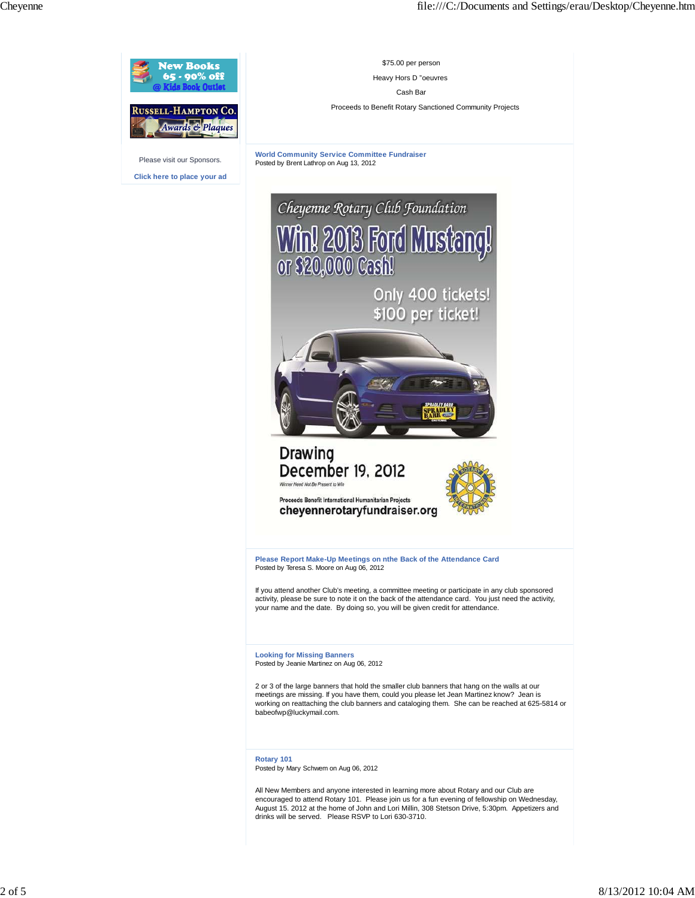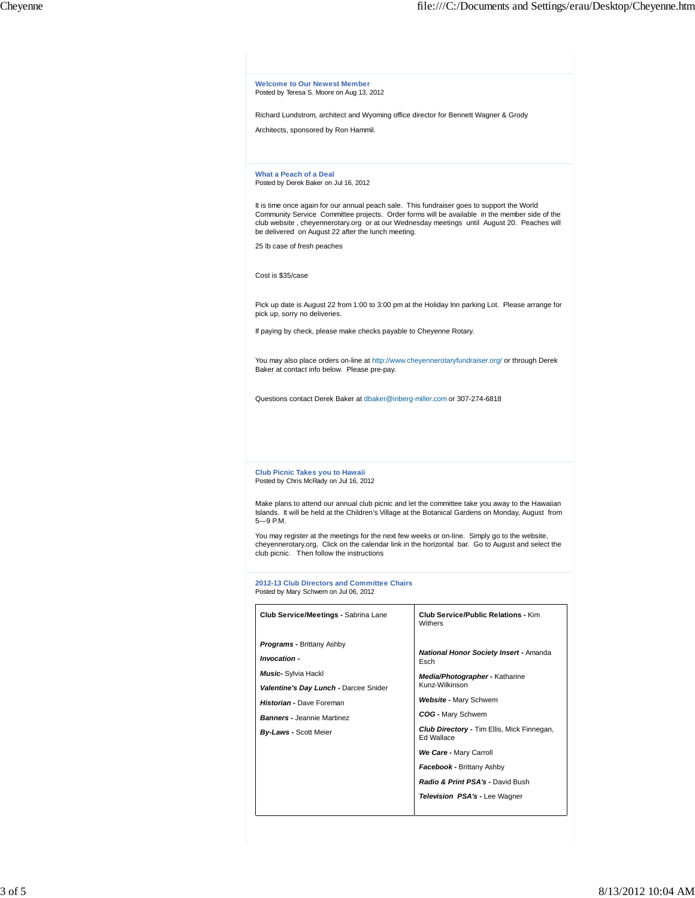**Welcome to Our Newest Member** Posted by Teresa S. Moore on Aug 13, 2012 Richard Lundstrom, architect and Wyoming office director for Bennett Wagner & Grody Architects, sponsored by Ron Hammil. **What a Peach of a Deal** Posted by Derek Baker on Jul 16, 2012 lt is time once again for our annual peach sale. This fundraiser goes to support the World<br>Community Service Committee projects. Order forms will be available in the member side of the<br>club website , cheyennerotary.org be delivered on August 22 after the lunch meeting. 25 lb case of fresh peaches Cost is \$35/case Pick up date is August 22 from 1:00 to 3:00 pm at the Holiday Inn parking Lot. Please arrange for pick up, sorry no deliveries. If paying by check, please make checks payable to Cheyenne Rotary. You may also place orders on-line at http://www.cheyennerotaryfundraiser.org/ or through Derek Baker at contact info below. Please pre-pay. Questions contact Derek Baker at dbaker@inberg-miller.com or 307-274-6818 **Club Picnic Takes you to Hawaii** Posted by Chris McRady on Jul 16, 2012 Make plans to attend our annual club picnic and let the committee take you away to the Hawaiian Islands. It will be held at the Children's Village at the Botanical Gardens on Monday, August from 5—9 P.M. You may register at the meetings for the next few weeks or on-line. Simply go to the website, cheyennerotary.org, Click on the calendar link in the horizontal bar. Go to August and select the club picnic. Then follow the instructions **2012-13 Club Directors and Committee Chairs** Posted by Mary Schwem on Jul 06, 2012 **Club Service/Meetings -** Sabrina Lane *Programs* **-** Brittany Ashby *Invocation* **-** *Music***-** Sylvia Hackl *Valentine's Day Lunch* **-** Darcee Snider *Historian* **-** Dave Foreman *Banners* **-** Jeannie Martinez *By-Laws* **-** Scott Meier **Club Service/Public Relations -** Kim Withers *National Honor Society Insert* **-** Amanda Esch *Media/Photographer* **-** Katharine Kunz-Wilkinson *Website* **-** Mary Schwem *COG* **-** Mary Schwem *Club Directory* **-** Tim Ellis, Mick Finnegan, Ed Wallace *We Care* **-** Mary Carroll *Facebook* **-** Brittany Ashby *Radio & Print PSA's* **-** David Bush *Television PSA's* **-** Lee Wagner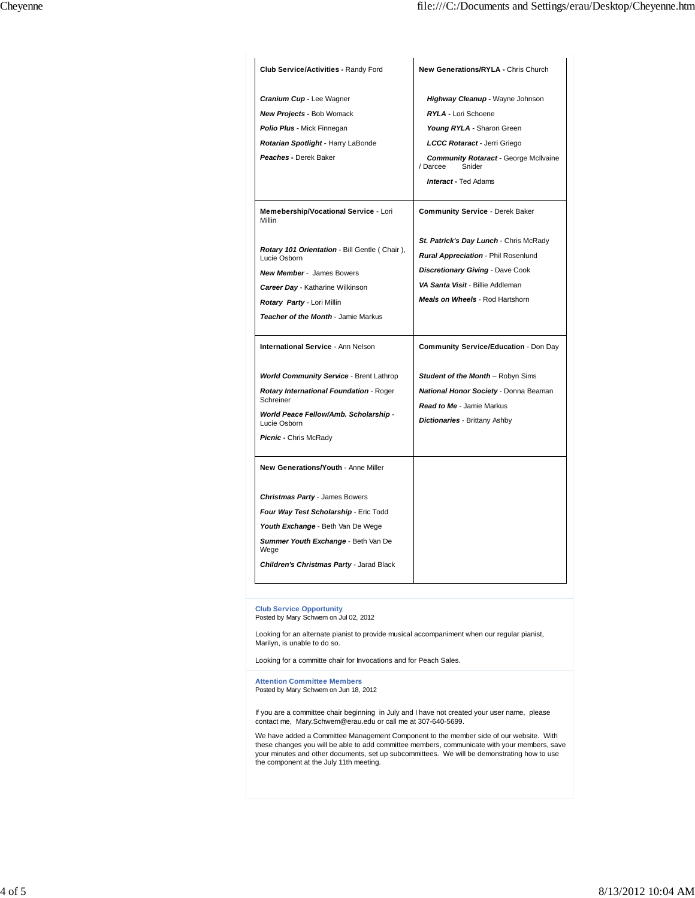| Club Service/Activities - Randy Ford                          | New Generations/RYLA - Chris Church                                       |
|---------------------------------------------------------------|---------------------------------------------------------------------------|
| <b>Cranium Cup - Lee Wagner</b>                               | Highway Cleanup - Wayne Johnson                                           |
| <b>New Projects - Bob Womack</b>                              | RYLA - Lori Schoene                                                       |
| Polio Plus - Mick Finnegan                                    | Young RYLA - Sharon Green                                                 |
| Rotarian Spotlight - Harry LaBonde                            | LCCC Rotaract - Jerri Griego                                              |
| Peaches - Derek Baker                                         | <b>Community Rotaract - George McIlvaine</b><br>/ Darcee<br>Snider        |
|                                                               | <b>Interact - Ted Adams</b>                                               |
| Memebership/Vocational Service - Lori<br><b>Millin</b>        | <b>Community Service - Derek Baker</b>                                    |
|                                                               | St. Patrick's Day Lunch - Chris McRady                                    |
| Rotary 101 Orientation - Bill Gentle (Chair),<br>Lucie Osborn | <b>Rural Appreciation - Phil Rosenlund</b>                                |
| New Member - James Bowers                                     | <b>Discretionary Giving - Dave Cook</b>                                   |
| <b>Career Day - Katharine Wilkinson</b>                       | VA Santa Visit - Billie Addleman                                          |
| Rotary Party - Lori Millin                                    | Meals on Wheels - Rod Hartshorn                                           |
| Teacher of the Month - Jamie Markus                           |                                                                           |
| <b>International Service - Ann Nelson</b>                     | Community Service/Education - Don Day                                     |
| <b>World Community Service - Brent Lathrop</b>                | <b>Student of the Month</b> - Robyn Sims                                  |
| Rotary International Foundation - Roger<br>Schreiner          | National Honor Society - Donna Beaman<br><b>Read to Me - Jamie Markus</b> |
| World Peace Fellow/Amb. Scholarship -<br>Lucie Osborn         | <b>Dictionaries - Brittany Ashby</b>                                      |
| Picnic - Chris McRady                                         |                                                                           |
| New Generations/Youth - Anne Miller                           |                                                                           |
| Christmas Party - James Bowers                                |                                                                           |
| Four Way Test Scholarship - Eric Todd                         |                                                                           |
| Youth Exchange - Beth Van De Wege                             |                                                                           |
| Summer Youth Exchange - Beth Van De<br>Wege                   |                                                                           |
| <b>Children's Christmas Party - Jarad Black</b>               |                                                                           |

**Club Service Opportunity** Posted by Mary Schwem on Jul 02, 2012

Looking for an alternate pianist to provide musical accompaniment when our regular pianist, Marilyn, is unable to do so.

Looking for a committe chair for Invocations and for Peach Sales.

**Attention Committee Members** Posted by Mary Schwem on Jun 18, 2012

If you are a committee chair beginning in July and I have not created your user name, please contact me, Mary.Schwem@erau.edu or call me at 307-640-5699.

We have added a Committee Management Component to the member side of our website. With these changes you will be able to add committee members, communicate with your members, save your minutes and other documents, set up subcommittees. We will be demonstrating how to use the component at the July 11th meeting.